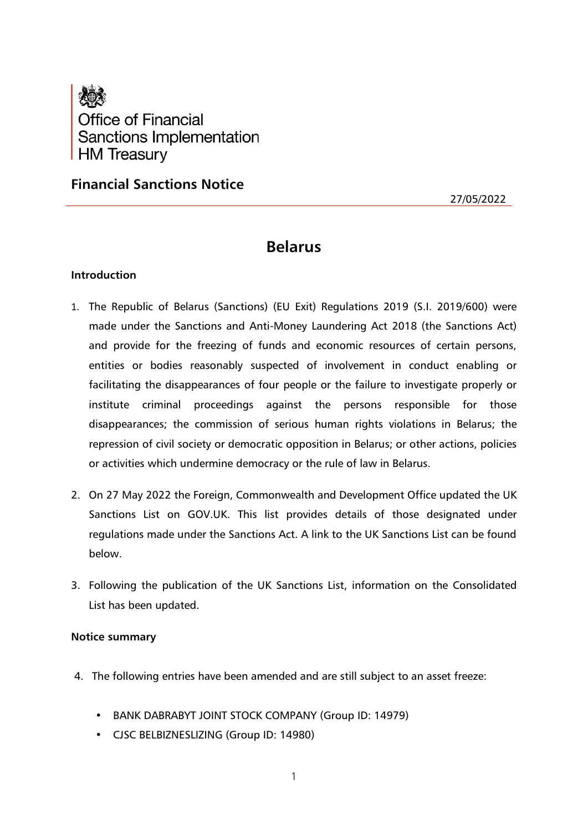

**Financial Sanctions Notice**

27/05/2022

# **Belarus**

## **Introduction**

- 1. The Republic of Belarus (Sanctions) (EU Exit) Regulations 2019 (S.I. 2019/600) were made under the Sanctions and Anti-Money Laundering Act 2018 (the Sanctions Act) and provide for the freezing of funds and economic resources of certain persons, entities or bodies reasonably suspected of involvement in conduct enabling or facilitating the disappearances of four people or the failure to investigate properly or institute criminal proceedings against the persons responsible for those disappearances; the commission of serious human rights violations in Belarus; the repression of civil society or democratic opposition in Belarus; or other actions, policies or activities which undermine democracy or the rule of law in Belarus.
- 2. On 27 May 2022 the Foreign, Commonwealth and Development Office updated the UK Sanctions List on GOV.UK. This list provides details of those designated under regulations made under the Sanctions Act. A link to the UK Sanctions List can be found below.
- 3. Following the publication of the UK Sanctions List, information on the Consolidated List has been updated.

## **Notice summary**

- 4. The following entries have been amended and are still subject to an asset freeze:
	- BANK DABRABYT JOINT STOCK COMPANY (Group ID: 14979)
	- CJSC BELBIZNESLIZING (Group ID: 14980)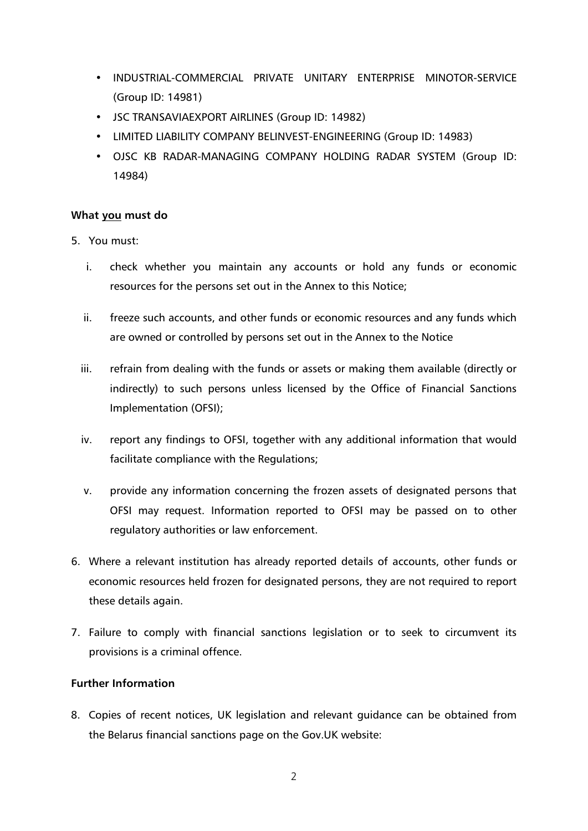- INDUSTRIAL-COMMERCIAL PRIVATE UNITARY ENTERPRISE MINOTOR-SERVICE (Group ID: 14981)
- JSC TRANSAVIAEXPORT AIRLINES (Group ID: 14982)
- LIMITED LIABILITY COMPANY BELINVEST-ENGINEERING (Group ID: 14983)
- OJSC KB RADAR-MANAGING COMPANY HOLDING RADAR SYSTEM (Group ID: 14984)

## **What you must do**

- 5. You must:
	- i. check whether you maintain any accounts or hold any funds or economic resources for the persons set out in the Annex to this Notice;
	- ii. freeze such accounts, and other funds or economic resources and any funds which are owned or controlled by persons set out in the Annex to the Notice
	- iii. refrain from dealing with the funds or assets or making them available (directly or indirectly) to such persons unless licensed by the Office of Financial Sanctions Implementation (OFSI);
	- iv. report any findings to OFSI, together with any additional information that would facilitate compliance with the Regulations;
	- v. provide any information concerning the frozen assets of designated persons that OFSI may request. Information reported to OFSI may be passed on to other regulatory authorities or law enforcement.
- 6. Where a relevant institution has already reported details of accounts, other funds or economic resources held frozen for designated persons, they are not required to report these details again.
- 7. Failure to comply with financial sanctions legislation or to seek to circumvent its provisions is a criminal offence.

## **Further Information**

8. Copies of recent notices, UK legislation and relevant guidance can be obtained from the Belarus financial sanctions page on the Gov.UK website: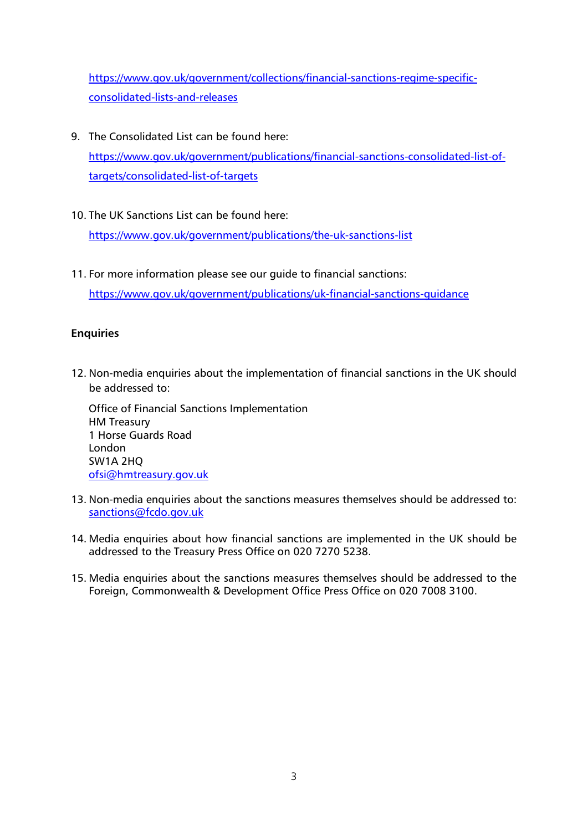[https://www.gov.uk/government/collections/financial-sanctions-regime-specific](https://www.gov.uk/government/collections/financial-sanctions-regime-specific-consolidated-lists-and-releases)[consolidated-lists-and-releases](https://www.gov.uk/government/collections/financial-sanctions-regime-specific-consolidated-lists-and-releases)

- 9. The Consolidated List can be found here: [https://www.gov.uk/government/publications/financial-sanctions-consolidated-list-of](https://www.gov.uk/government/publications/financial-sanctions-consolidated-list-of-targets/consolidated-list-of-targets)[targets/consolidated-list-of-targets](https://www.gov.uk/government/publications/financial-sanctions-consolidated-list-of-targets/consolidated-list-of-targets)
- 10. The UK Sanctions List can be found here:

<https://www.gov.uk/government/publications/the-uk-sanctions-list>

11. For more information please see our guide to financial sanctions: <https://www.gov.uk/government/publications/uk-financial-sanctions-guidance>

## **Enquiries**

12. Non-media enquiries about the implementation of financial sanctions in the UK should be addressed to:

Office of Financial Sanctions Implementation HM Treasury 1 Horse Guards Road London SW1A 2HQ [ofsi@hmtreasury.gov.uk](mailto:ofsi@hmtreasury.gov.uk)

- 13. Non-media enquiries about the sanctions measures themselves should be addressed to: [sanctions@fcdo.gov.uk](mailto:sanctions@fcdo.gov.uk)
- 14. Media enquiries about how financial sanctions are implemented in the UK should be addressed to the Treasury Press Office on 020 7270 5238.
- 15. Media enquiries about the sanctions measures themselves should be addressed to the Foreign, Commonwealth & Development Office Press Office on 020 7008 3100.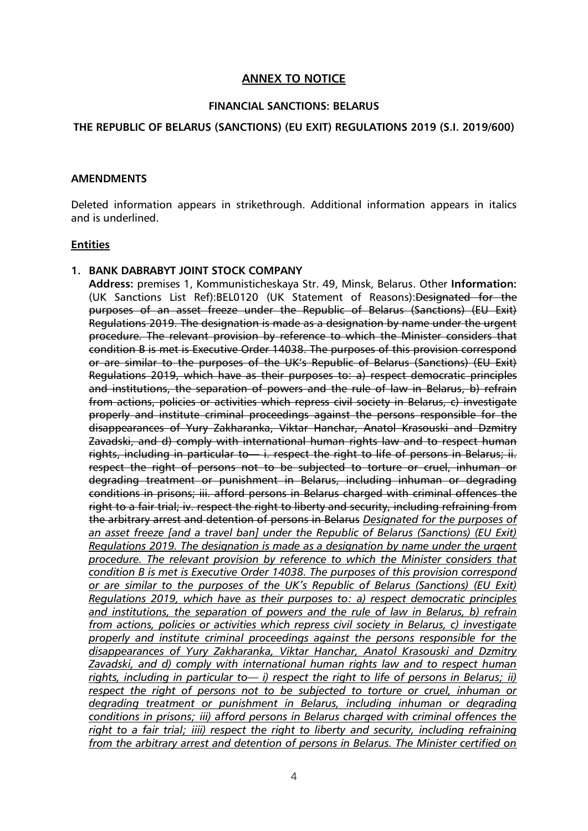## **ANNEX TO NOTICE**

### **FINANCIAL SANCTIONS: BELARUS**

## **THE REPUBLIC OF BELARUS (SANCTIONS) (EU EXIT) REGULATIONS 2019 (S.I. 2019/600)**

#### **AMENDMENTS**

Deleted information appears in strikethrough. Additional information appears in italics and is underlined.

### **Entities**

### **1. BANK DABRABYT JOINT STOCK COMPANY**

**Address:** premises 1, Kommunisticheskaya Str. 49, Minsk, Belarus. Other **Information:** (UK Sanctions List Ref):BEL0120 (UK Statement of Reasons):Designated for the purposes of an asset freeze under the Republic of Belarus (Sanctions) (EU Exit) Regulations 2019. The designation is made as a designation by name under the urgent procedure. The relevant provision by reference to which the Minister considers that condition B is met is Executive Order 14038. The purposes of this provision correspond or are similar to the purposes of the UK's Republic of Belarus (Sanctions) (EU Exit) Regulations 2019, which have as their purposes to: a) respect democratic principles and institutions, the separation of powers and the rule of law in Belarus, b) refrain from actions, policies or activities which repress civil society in Belarus, c) investigate properly and institute criminal proceedings against the persons responsible for the disappearances of Yury Zakharanka, Viktar Hanchar, Anatol Krasouski and Dzmitry Zavadski, and d) comply with international human rights law and to respect human rights, including in particular to — i. respect the right to life of persons in Belarus; ii. respect the right of persons not to be subjected to torture or cruel, inhuman or degrading treatment or punishment in Belarus, including inhuman or degrading conditions in prisons; iii. afford persons in Belarus charged with criminal offences the right to a fair trial; iv. respect the right to liberty and security, including refraining from the arbitrary arrest and detention of persons in Belarus *Designated for the purposes of an asset freeze [and a travel ban] under the Republic of Belarus (Sanctions) (EU Exit) Regulations 2019. The designation is made as a designation by name under the urgent procedure. The relevant provision by reference to which the Minister considers that condition B is met is Executive Order 14038. The purposes of this provision correspond or are similar to the purposes of the UK's Republic of Belarus (Sanctions) (EU Exit) Regulations 2019, which have as their purposes to: a) respect democratic principles and institutions, the separation of powers and the rule of law in Belarus, b) refrain from actions, policies or activities which repress civil society in Belarus, c) investigate properly and institute criminal proceedings against the persons responsible for the disappearances of Yury Zakharanka, Viktar Hanchar, Anatol Krasouski and Dzmitry Zavadski, and d) comply with international human rights law and to respect human rights, including in particular to— i) respect the right to life of persons in Belarus; ii) respect the right of persons not to be subjected to torture or cruel, inhuman or degrading treatment or punishment in Belarus, including inhuman or degrading conditions in prisons; iii) afford persons in Belarus charged with criminal offences the right to a fair trial; iiii) respect the right to liberty and security, including refraining from the arbitrary arrest and detention of persons in Belarus. The Minister certified on*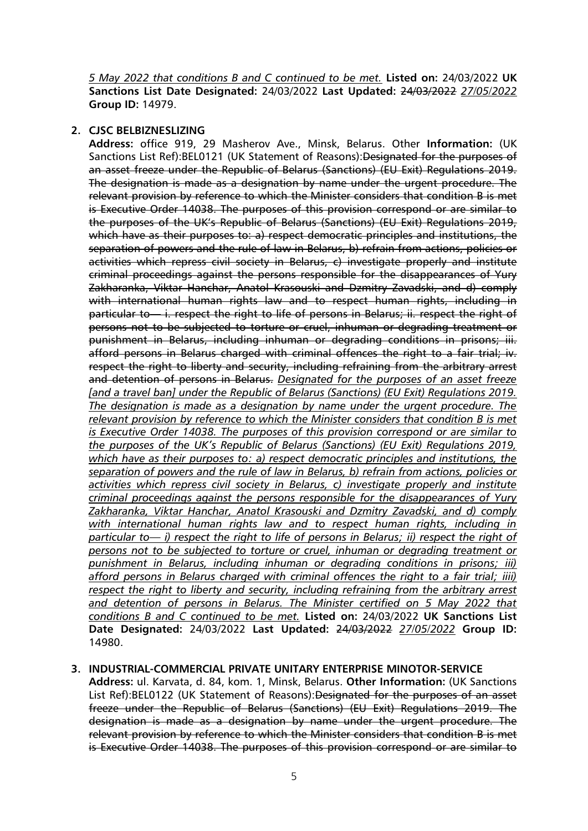*5 May 2022 that conditions B and C continued to be met.* **Listed on:** 24/03/2022 **UK Sanctions List Date Designated:** 24/03/2022 **Last Updated:** 24/03/2022 *27/05/2022* **Group ID:** 14979.

### **2. CJSC BELBIZNESLIZING**

**Address:** office 919, 29 Masherov Ave., Minsk, Belarus. Other **Information:** (UK Sanctions List Ref):BEL0121 (UK Statement of Reasons):Designated for the purposes of an asset freeze under the Republic of Belarus (Sanctions) (EU Exit) Regulations 2019. The designation is made as a designation by name under the urgent procedure. The relevant provision by reference to which the Minister considers that condition B is met is Executive Order 14038. The purposes of this provision correspond or are similar to the purposes of the UK's Republic of Belarus (Sanctions) (EU Exit) Regulations 2019, which have as their purposes to: a) respect democratic principles and institutions, the separation of powers and the rule of law in Belarus, b) refrain from actions, policies or activities which repress civil society in Belarus, c) investigate properly and institute criminal proceedings against the persons responsible for the disappearances of Yury Zakharanka, Viktar Hanchar, Anatol Krasouski and Dzmitry Zavadski, and d) comply with international human rights law and to respect human rights, including in particular to — i. respect the right to life of persons in Belarus; ii. respect the right of persons not to be subjected to torture or cruel, inhuman or degrading treatment or punishment in Belarus, including inhuman or degrading conditions in prisons; iii. afford persons in Belarus charged with criminal offences the right to a fair trial; iv. respect the right to liberty and security, including refraining from the arbitrary arrest and detention of persons in Belarus. *Designated for the purposes of an asset freeze [and a travel ban] under the Republic of Belarus (Sanctions) (EU Exit) Regulations 2019. The designation is made as a designation by name under the urgent procedure. The relevant provision by reference to which the Minister considers that condition B is met is Executive Order 14038. The purposes of this provision correspond or are similar to the purposes of the UK's Republic of Belarus (Sanctions) (EU Exit) Regulations 2019, which have as their purposes to: a) respect democratic principles and institutions, the separation of powers and the rule of law in Belarus, b) refrain from actions, policies or activities which repress civil society in Belarus, c) investigate properly and institute criminal proceedings against the persons responsible for the disappearances of Yury Zakharanka, Viktar Hanchar, Anatol Krasouski and Dzmitry Zavadski, and d) comply with international human rights law and to respect human rights, including in particular to— i) respect the right to life of persons in Belarus; ii) respect the right of persons not to be subjected to torture or cruel, inhuman or degrading treatment or punishment in Belarus, including inhuman or degrading conditions in prisons; iii) afford persons in Belarus charged with criminal offences the right to a fair trial; iiii) respect the right to liberty and security, including refraining from the arbitrary arrest and detention of persons in Belarus. The Minister certified on 5 May 2022 that conditions B and C continued to be met.* **Listed on:** 24/03/2022 **UK Sanctions List Date Designated:** 24/03/2022 **Last Updated:** 24/03/2022 *27/05/2022* **Group ID:** 14980.

## **3. INDUSTRIAL-COMMERCIAL PRIVATE UNITARY ENTERPRISE MINOTOR-SERVICE**

**Address:** ul. Karvata, d. 84, kom. 1, Minsk, Belarus. **Other Information:** (UK Sanctions List Ref):BEL0122 (UK Statement of Reasons):Designated for the purposes of an asset freeze under the Republic of Belarus (Sanctions) (EU Exit) Regulations 2019. The designation is made as a designation by name under the urgent procedure. The relevant provision by reference to which the Minister considers that condition B is met is Executive Order 14038. The purposes of this provision correspond or are similar to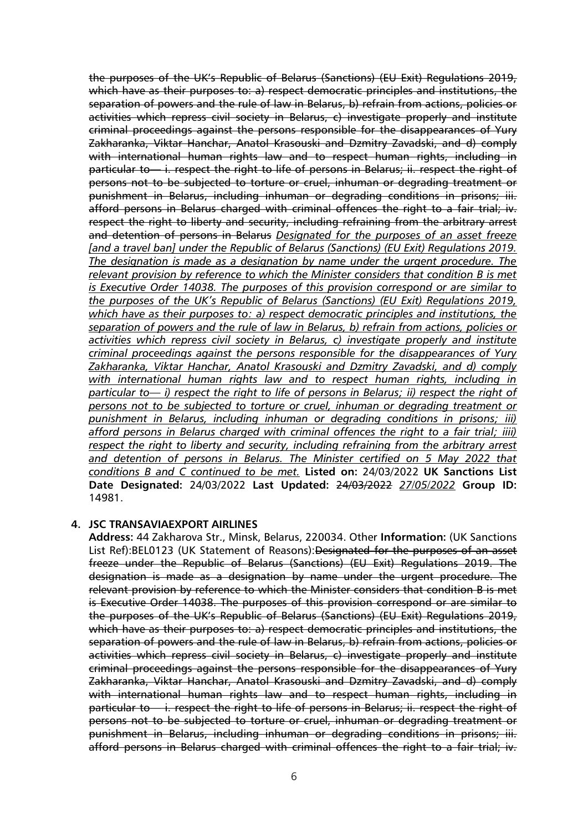the purposes of the UK's Republic of Belarus (Sanctions) (EU Exit) Regulations 2019, which have as their purposes to: a) respect democratic principles and institutions, the separation of powers and the rule of law in Belarus, b) refrain from actions, policies or activities which repress civil society in Belarus, c) investigate properly and institute criminal proceedings against the persons responsible for the disappearances of Yury Zakharanka, Viktar Hanchar, Anatol Krasouski and Dzmitry Zavadski, and d) comply with international human rights law and to respect human rights, including in particular to — i. respect the right to life of persons in Belarus; ii. respect the right of persons not to be subjected to torture or cruel, inhuman or degrading treatment or punishment in Belarus, including inhuman or degrading conditions in prisons; iii. afford persons in Belarus charged with criminal offences the right to a fair trial; iv. respect the right to liberty and security, including refraining from the arbitrary arrest and detention of persons in Belarus *Designated for the purposes of an asset freeze [and a travel ban] under the Republic of Belarus (Sanctions) (EU Exit) Regulations 2019. The designation is made as a designation by name under the urgent procedure. The relevant provision by reference to which the Minister considers that condition B is met is Executive Order 14038. The purposes of this provision correspond or are similar to the purposes of the UK's Republic of Belarus (Sanctions) (EU Exit) Regulations 2019, which have as their purposes to: a) respect democratic principles and institutions, the separation of powers and the rule of law in Belarus, b) refrain from actions, policies or activities which repress civil society in Belarus, c) investigate properly and institute criminal proceedings against the persons responsible for the disappearances of Yury Zakharanka, Viktar Hanchar, Anatol Krasouski and Dzmitry Zavadski, and d) comply with international human rights law and to respect human rights, including in particular to— i) respect the right to life of persons in Belarus; ii) respect the right of persons not to be subjected to torture or cruel, inhuman or degrading treatment or punishment in Belarus, including inhuman or degrading conditions in prisons; iii) afford persons in Belarus charged with criminal offences the right to a fair trial; iiii) respect the right to liberty and security, including refraining from the arbitrary arrest*  and detention of persons in Belarus. The Minister certified on 5 May 2022 that *conditions B and C continued to be met.* **Listed on:** 24/03/2022 **UK Sanctions List Date Designated:** 24/03/2022 **Last Updated:** 24/03/2022 *27/05/2022* **Group ID:** 14981.

#### **4. JSC TRANSAVIAEXPORT AIRLINES**

**Address:** 44 Zakharova Str., Minsk, Belarus, 220034. Other **Information:** (UK Sanctions List Ref):BEL0123 (UK Statement of Reasons):Designated for the purposes of an asset freeze under the Republic of Belarus (Sanctions) (EU Exit) Regulations 2019. The designation is made as a designation by name under the urgent procedure. The relevant provision by reference to which the Minister considers that condition B is met is Executive Order 14038. The purposes of this provision correspond or are similar to the purposes of the UK's Republic of Belarus (Sanctions) (EU Exit) Regulations 2019, which have as their purposes to: a) respect democratic principles and institutions, the separation of powers and the rule of law in Belarus, b) refrain from actions, policies or activities which repress civil society in Belarus, c) investigate properly and institute criminal proceedings against the persons responsible for the disappearances of Yury Zakharanka, Viktar Hanchar, Anatol Krasouski and Dzmitry Zavadski, and d) comply with international human rights law and to respect human rights, including in particular to— i. respect the right to life of persons in Belarus; ii. respect the right of persons not to be subjected to torture or cruel, inhuman or degrading treatment or punishment in Belarus, including inhuman or degrading conditions in prisons; iii. afford persons in Belarus charged with criminal offences the right to a fair trial; iv.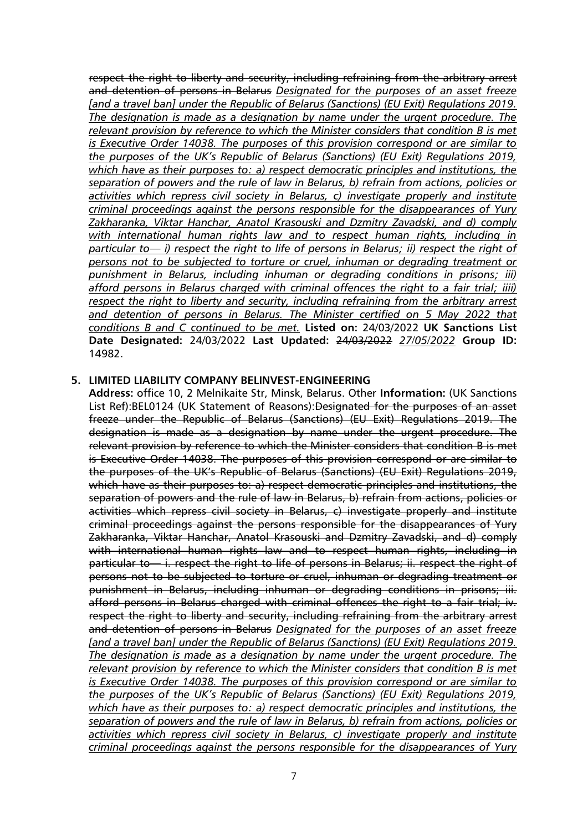respect the right to liberty and security, including refraining from the arbitrary arrest and detention of persons in Belarus *Designated for the purposes of an asset freeze [and a travel ban] under the Republic of Belarus (Sanctions) (EU Exit) Regulations 2019. The designation is made as a designation by name under the urgent procedure. The relevant provision by reference to which the Minister considers that condition B is met is Executive Order 14038. The purposes of this provision correspond or are similar to the purposes of the UK's Republic of Belarus (Sanctions) (EU Exit) Regulations 2019, which have as their purposes to: a) respect democratic principles and institutions, the separation of powers and the rule of law in Belarus, b) refrain from actions, policies or activities which repress civil society in Belarus, c) investigate properly and institute criminal proceedings against the persons responsible for the disappearances of Yury Zakharanka, Viktar Hanchar, Anatol Krasouski and Dzmitry Zavadski, and d) comply with international human rights law and to respect human rights, including in particular to— i) respect the right to life of persons in Belarus; ii) respect the right of persons not to be subjected to torture or cruel, inhuman or degrading treatment or punishment in Belarus, including inhuman or degrading conditions in prisons; iii) afford persons in Belarus charged with criminal offences the right to a fair trial; iiii) respect the right to liberty and security, including refraining from the arbitrary arrest and detention of persons in Belarus. The Minister certified on 5 May 2022 that conditions B and C continued to be met.* **Listed on:** 24/03/2022 **UK Sanctions List Date Designated:** 24/03/2022 **Last Updated:** 24/03/2022 *27/05/2022* **Group ID:** 14982.

#### **5. LIMITED LIABILITY COMPANY BELINVEST-ENGINEERING**

**Address:** office 10, 2 Melnikaite Str, Minsk, Belarus. Other **Information:** (UK Sanctions List Ref):BEL0124 (UK Statement of Reasons):Designated for the purposes of an asset freeze under the Republic of Belarus (Sanctions) (EU Exit) Regulations 2019. The designation is made as a designation by name under the urgent procedure. The relevant provision by reference to which the Minister considers that condition B is met is Executive Order 14038. The purposes of this provision correspond or are similar to the purposes of the UK's Republic of Belarus (Sanctions) (EU Exit) Regulations 2019, which have as their purposes to: a) respect democratic principles and institutions, the separation of powers and the rule of law in Belarus, b) refrain from actions, policies or activities which repress civil society in Belarus, c) investigate properly and institute criminal proceedings against the persons responsible for the disappearances of Yury Zakharanka, Viktar Hanchar, Anatol Krasouski and Dzmitry Zavadski, and d) comply with international human rights law and to respect human rights, including in particular to — i. respect the right to life of persons in Belarus; ii. respect the right of persons not to be subjected to torture or cruel, inhuman or degrading treatment or punishment in Belarus, including inhuman or degrading conditions in prisons; iii. afford persons in Belarus charged with criminal offences the right to a fair trial; iv. respect the right to liberty and security, including refraining from the arbitrary arrest and detention of persons in Belarus *Designated for the purposes of an asset freeze [and a travel ban] under the Republic of Belarus (Sanctions) (EU Exit) Regulations 2019. The designation is made as a designation by name under the urgent procedure. The relevant provision by reference to which the Minister considers that condition B is met is Executive Order 14038. The purposes of this provision correspond or are similar to the purposes of the UK's Republic of Belarus (Sanctions) (EU Exit) Regulations 2019, which have as their purposes to: a) respect democratic principles and institutions, the separation of powers and the rule of law in Belarus, b) refrain from actions, policies or activities which repress civil society in Belarus, c) investigate properly and institute criminal proceedings against the persons responsible for the disappearances of Yury*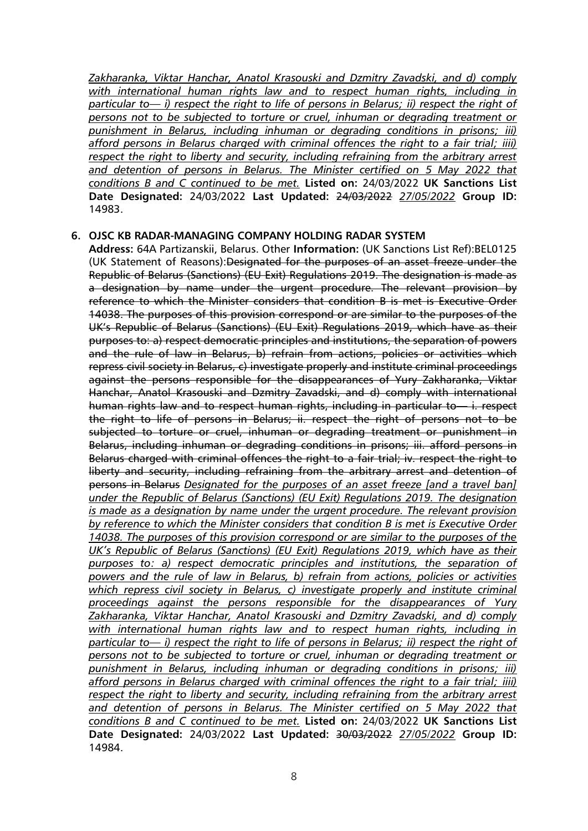*Zakharanka, Viktar Hanchar, Anatol Krasouski and Dzmitry Zavadski, and d) comply with international human rights law and to respect human rights, including in particular to— i) respect the right to life of persons in Belarus; ii) respect the right of persons not to be subjected to torture or cruel, inhuman or degrading treatment or punishment in Belarus, including inhuman or degrading conditions in prisons; iii) afford persons in Belarus charged with criminal offences the right to a fair trial; iiii) respect the right to liberty and security, including refraining from the arbitrary arrest*  and detention of persons in Belarus. The Minister certified on 5 May 2022 that *conditions B and C continued to be met.* **Listed on:** 24/03/2022 **UK Sanctions List Date Designated:** 24/03/2022 **Last Updated:** 24/03/2022 *27/05/2022* **Group ID:** 14983.

#### **6. OJSC KB RADAR-MANAGING COMPANY HOLDING RADAR SYSTEM**

**Address:** 64A Partizanskii, Belarus. Other **Information:** (UK Sanctions List Ref):BEL0125 (UK Statement of Reasons): Designated for the purposes of an asset freeze under the Republic of Belarus (Sanctions) (EU Exit) Regulations 2019. The designation is made as a designation by name under the urgent procedure. The relevant provision by reference to which the Minister considers that condition B is met is Executive Order 14038. The purposes of this provision correspond or are similar to the purposes of the UK's Republic of Belarus (Sanctions) (EU Exit) Regulations 2019, which have as their purposes to: a) respect democratic principles and institutions, the separation of powers and the rule of law in Belarus, b) refrain from actions, policies or activities which repress civil society in Belarus, c) investigate properly and institute criminal proceedings against the persons responsible for the disappearances of Yury Zakharanka, Viktar Hanchar, Anatol Krasouski and Dzmitry Zavadski, and d) comply with international human rights law and to respect human rights, including in particular to — i. respect the right to life of persons in Belarus; ii. respect the right of persons not to be subjected to torture or cruel, inhuman or degrading treatment or punishment in Belarus, including inhuman or degrading conditions in prisons; iii. afford persons in Belarus charged with criminal offences the right to a fair trial; iv. respect the right to liberty and security, including refraining from the arbitrary arrest and detention of persons in Belarus *Designated for the purposes of an asset freeze [and a travel ban] under the Republic of Belarus (Sanctions) (EU Exit) Regulations 2019. The designation is made as a designation by name under the urgent procedure. The relevant provision by reference to which the Minister considers that condition B is met is Executive Order 14038. The purposes of this provision correspond or are similar to the purposes of the UK's Republic of Belarus (Sanctions) (EU Exit) Regulations 2019, which have as their purposes to: a) respect democratic principles and institutions, the separation of powers and the rule of law in Belarus, b) refrain from actions, policies or activities which repress civil society in Belarus, c) investigate properly and institute criminal proceedings against the persons responsible for the disappearances of Yury Zakharanka, Viktar Hanchar, Anatol Krasouski and Dzmitry Zavadski, and d) comply with international human rights law and to respect human rights, including in particular to— i) respect the right to life of persons in Belarus; ii) respect the right of persons not to be subjected to torture or cruel, inhuman or degrading treatment or punishment in Belarus, including inhuman or degrading conditions in prisons; iii) afford persons in Belarus charged with criminal offences the right to a fair trial; iiii) respect the right to liberty and security, including refraining from the arbitrary arrest and detention of persons in Belarus. The Minister certified on 5 May 2022 that conditions B and C continued to be met.* **Listed on:** 24/03/2022 **UK Sanctions List Date Designated:** 24/03/2022 **Last Updated:** 30/03/2022 *27/05/2022* **Group ID:** 14984.